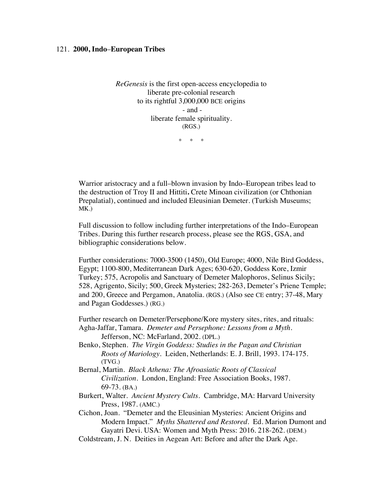## 121. **2000, Indo**–**European Tribes**

*ReGenesis* is the first open-access encyclopedia to liberate pre-colonial research to its rightful 3,000,000 BCE origins - and liberate female spirituality. (RGS.)

\* \* \*

Warrior aristocracy and a full–blown invasion by Indo–European tribes lead to the destruction of Troy II and Hittiti**.** Crete Minoan civilization (or Chthonian Prepalatial), continued and included Eleusinian Demeter. (Turkish Museums; MK.)

Full discussion to follow including further interpretations of the Indo–European Tribes. During this further research process, please see the RGS, GSA, and bibliographic considerations below.

Further considerations: 7000-3500 (1450), Old Europe; 4000, Nile Bird Goddess, Egypt; 1100-800, Mediterranean Dark Ages; 630-620, Goddess Kore, Izmir Turkey; 575, Acropolis and Sanctuary of Demeter Malophoros, Selinus Sicily; 528, Agrigento, Sicily; 500, Greek Mysteries; 282-263, Demeter's Priene Temple; and 200, Greece and Pergamon, Anatolia. (RGS.) (Also see CE entry; 37-48, Mary and Pagan Goddesses.) (RG.)

Further research on Demeter/Persephone/Kore mystery sites, rites, and rituals: Agha-Jaffar, Tamara. *Demeter and Persephone: Lessons from a Myth*. Jefferson, NC: McFarland, 2002. (DPL.)

- Benko, Stephen. *The Virgin Goddess: Studies in the Pagan and Christian Roots of Mariology*. Leiden, Netherlands: E. J. Brill, 1993. 174-175. (TVG.)
- Bernal, Martin. *Black Athena: The Afroasiatic Roots of Classical Civilization*. London, England: Free Association Books, 1987. 69-73. (BA.)
- Burkert, Walter. *Ancient Mystery Cults.* Cambridge, MA: Harvard University Press, 1987. (AMC.)
- Cichon, Joan. "Demeter and the Eleusinian Mysteries: Ancient Origins and Modern Impact." *Myths Shattered and Restored*. Ed. Marion Dumont and Gayatri Devi. USA: Women and Myth Press: 2016. 218-262. (DEM.)
- Coldstream, J. N. Deities in Aegean Art: Before and after the Dark Age.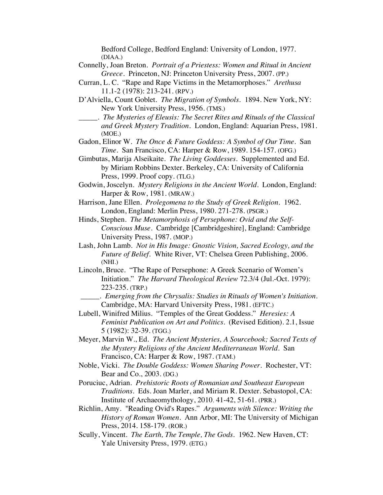Bedford College, Bedford England: University of London, 1977. (DIAA.)

- Connelly, Joan Breton. *Portrait of a Priestess: Women and Ritual in Ancient Greece*. Princeton, NJ: Princeton University Press, 2007. (PP.)
- Curran, L. C. "Rape and Rape Victims in the Metamorphoses." *Arethusa* 11.1-2 (1978): 213-241. (RPV.)
- D'Alviella, Count Goblet. *The Migration of Symbols.* 1894. New York, NY: New York University Press, 1956. (TMS.)
- \_\_\_\_\_. *The Mysteries of Eleusis: The Secret Rites and Rituals of the Classical and Greek Mystery Tradition.* London, England: Aquarian Press, 1981. (MOE.)

Gadon, Elinor W. *The Once & Future Goddess: A Symbol of Our Time.* San *Time.* San Francisco, CA: Harper & Row, 1989. 154-157. (OFG.)

- Gimbutas, Marija Alseikaite. *The Living Goddesses*. Supplemented and Ed. by Miriam Robbins Dexter. Berkeley, CA: University of California Press, 1999. Proof copy. (TLG.)
- Godwin, Joscelyn. *Mystery Religions in the Ancient World*. London, England: Harper & Row, 1981. (MRAW.)
- Harrison, Jane Ellen. *Prolegomena to the Study of Greek Religion*. 1962. London, England: Merlin Press, 1980. 271-278. (PSGR.)
- Hinds, Stephen. *The Metamorphosis of Persephone: Ovid and the Self-Conscious Muse*. Cambridge [Cambridgeshire], England: Cambridge University Press, 1987. (MOP.)
- Lash, John Lamb. *Not in His Image: Gnostic Vision, Sacred Ecology, and the Future of Belief.* White River, VT: Chelsea Green Publishing, 2006. (NHI.)
- Lincoln, Bruce. "The Rape of Persephone: A Greek Scenario of Women's Initiation." *The Harvard Theological Review* 72.3/4 (Jul.-Oct. 1979): 223-235. (TRP.)
	- \_\_\_\_\_. *Emerging from the Chrysalis: Studies in Rituals of Women's Initiation.* Cambridge, MA: Harvard University Press, 1981. (EFTC.)
- Lubell, Winifred Milius. "Temples of the Great Goddess." *Heresies: A Feminist Publication on Art and Politics.* (Revised Edition). 2.1, Issue 5 (1982): 32-39. (TGG.)
- Meyer, Marvin W., Ed. *The Ancient Mysteries, A Sourcebook; Sacred Texts of the Mystery Religions of the Ancient Mediterranean World*. San Francisco, CA: Harper & Row, 1987. (TAM.)
- Noble, Vicki. *The Double Goddess: Women Sharing Power*. Rochester, VT: Bear and Co., 2003. (DG.)
- Poruciuc, Adrian. *Prehistoric Roots of Romanian and Southeast European Traditions*. Eds. Joan Marler, and Miriam R. Dexter. Sebastopol, CA: Institute of Archaeomythology, 2010. 41-42, 51-61. (PRR.)
- Richlin, Amy. "Reading Ovid's Rapes." *Arguments with Silence: Writing the History of Roman Women*. Ann Arbor, MI: The University of Michigan Press, 2014. 158-179. (ROR.)
- Scully, Vincent. *The Earth, The Temple, The Gods*. 1962. New Haven, CT: Yale University Press, 1979. (ETG.)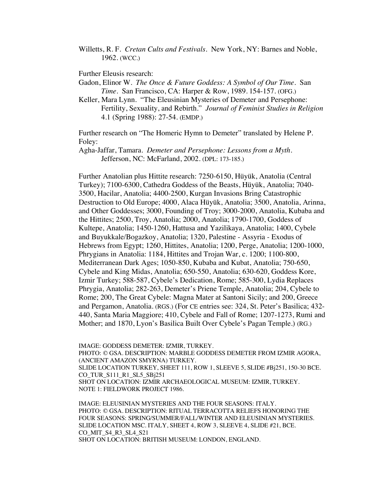Willetts, R. F. *Cretan Cults and Festivals*. New York, NY: Barnes and Noble, 1962. (WCC.)

Further Eleusis research:

- Gadon, Elinor W. *The Once & Future Goddess: A Symbol of Our Time.* San *Time.* San Francisco, CA: Harper & Row, 1989. 154-157. (OFG.)
- Keller, Mara Lynn. "The Eleusinian Mysteries of Demeter and Persephone: Fertility, Sexuality, and Rebirth." *Journal of Feminist Studies in Religion* 4.1 (Spring 1988): 27-54. (EMDP.)

Further research on "The Homeric Hymn to Demeter" translated by Helene P. Foley:

Agha-Jaffar, Tamara. *Demeter and Persephone: Lessons from a Myth*. Jefferson, NC: McFarland, 2002. (DPL: 173-185.)

Further Anatolian plus Hittite research: 7250-6150, Hüyük, Anatolia (Central Turkey); 7100-6300, Cathedra Goddess of the Beasts, Hüyük, Anatolia; 7040- 3500, Hacilar, Anatolia; 4400-2500, Kurgan Invasions Bring Catastrophic Destruction to Old Europe; 4000, Alaca Hüyük, Anatolia; 3500, Anatolia, Arinna, and Other Goddesses; 3000, Founding of Troy; 3000-2000, Anatolia, Kubaba and the Hittites; 2500, Troy, Anatolia; 2000, Anatolia; 1790-1700, Goddess of Kultepe, Anatolia; 1450-1260, Hattusa and Yazilikaya, Anatolia; 1400, Cybele and Buyukkale/Bogazkoy, Anatolia; 1320, Palestine - Assyria - Exodus of Hebrews from Egypt; 1260, Hittites, Anatolia; 1200, Perge, Anatolia; 1200-1000, Phrygians in Anatolia: 1184, Hittites and Trojan War, c. 1200; 1100-800, Mediterranean Dark Ages; 1050-850, Kubaba and Kubat, Anatolia; 750-650, Cybele and King Midas, Anatolia; 650-550, Anatolia; 630-620, Goddess Kore, Izmir Turkey; 588-587, Cybele's Dedication, Rome; 585-300, Lydia Replaces Phrygia, Anatolia; 282-263, Demeter's Priene Temple, Anatolia; 204, Cybele to Rome; 200, The Great Cybele: Magna Mater at Santoni Sicily; and 200, Greece and Pergamon, Anatolia. (RGS.) (For CE entries see: 324, St. Peter's Basilica; 432- 440, Santa Maria Maggiore; 410, Cybele and Fall of Rome; 1207-1273, Rumi and Mother; and 1870, Lyon's Basilica Built Over Cybele's Pagan Temple.) (RG.)

IMAGE: GODDESS DEMETER: IZMIR, TURKEY. PHOTO: © GSA. DESCRIPTION: MARBLE GODDESS DEMETER FROM IZMIR AGORA, (ANCIENT AMAZON SMYRNA) TURKEY. SLIDE LOCATION TURKEY, SHEET 111, ROW 1, SLEEVE 5, SLIDE #Bj251, 150-30 BCE. CO\_TUR\_S111\_R1\_SL5\_SBj251 SHOT ON LOCATION: IZMIR ARCHAEOLOGICAL MUSEUM: IZMIR, TURKEY. NOTE 1: FIELDWORK PROJECT 1986.

IMAGE: ELEUSINIAN MYSTERIES AND THE FOUR SEASONS: ITALY. PHOTO: © GSA. DESCRIPTION: RITUAL TERRACOTTA RELIEFS HONORING THE FOUR SEASONS: SPRING/SUMMER/FALL/WINTER AND ELEUSINIAN MYSTERIES. SLIDE LOCATION MSC. ITALY, SHEET 4, ROW 3, SLEEVE 4, SLIDE #21, BCE. CO\_MIT\_S4\_R3\_SL4\_S21 SHOT ON LOCATION: BRITISH MUSEUM: LONDON, ENGLAND.